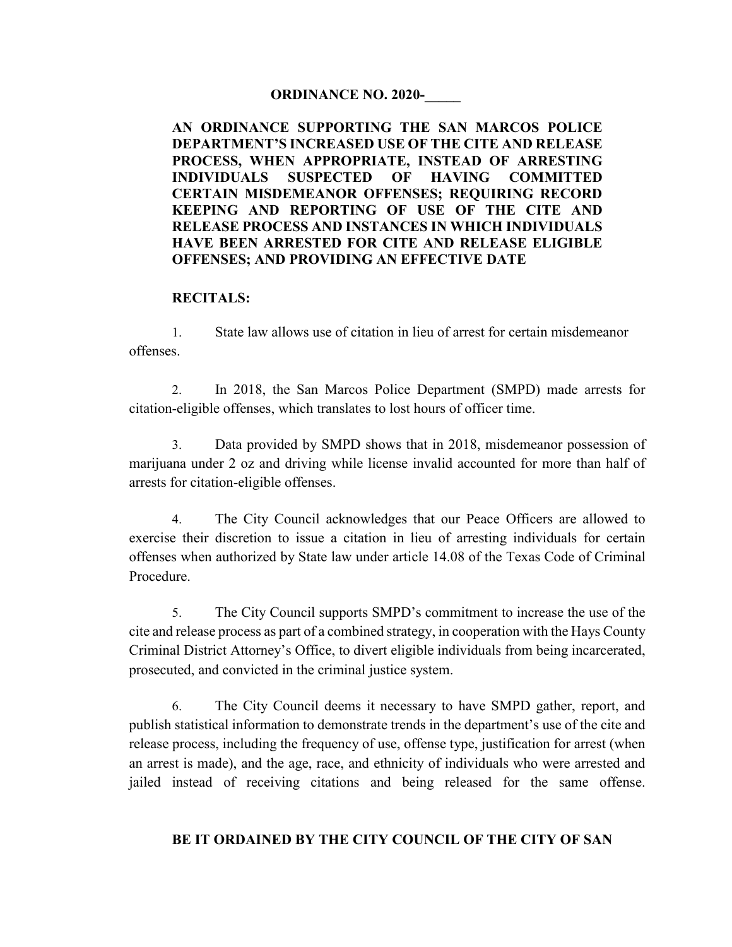## **ORDINANCE NO. 2020-\_\_\_\_\_**

**AN ORDINANCE SUPPORTING THE SAN MARCOS POLICE DEPARTMENT'S INCREASED USE OF THE CITE AND RELEASE PROCESS, WHEN APPROPRIATE, INSTEAD OF ARRESTING INDIVIDUALS SUSPECTED OF HAVING COMMITTED CERTAIN MISDEMEANOR OFFENSES; REQUIRING RECORD KEEPING AND REPORTING OF USE OF THE CITE AND RELEASE PROCESS AND INSTANCES IN WHICH INDIVIDUALS HAVE BEEN ARRESTED FOR CITE AND RELEASE ELIGIBLE OFFENSES; AND PROVIDING AN EFFECTIVE DATE** 

## **RECITALS:**

1. State law allows use of citation in lieu of arrest for certain misdemeanor offenses.

2. In 2018, the San Marcos Police Department (SMPD) made arrests for citation-eligible offenses, which translates to lost hours of officer time.

3. Data provided by SMPD shows that in 2018, misdemeanor possession of marijuana under 2 oz and driving while license invalid accounted for more than half of arrests for citation-eligible offenses.

4. The City Council acknowledges that our Peace Officers are allowed to exercise their discretion to issue a citation in lieu of arresting individuals for certain offenses when authorized by State law under article 14.08 of the Texas Code of Criminal Procedure.

5. The City Council supports SMPD's commitment to increase the use of the cite and release process as part of a combined strategy, in cooperation with the Hays County Criminal District Attorney's Office, to divert eligible individuals from being incarcerated, prosecuted, and convicted in the criminal justice system.

6. The City Council deems it necessary to have SMPD gather, report, and publish statistical information to demonstrate trends in the department's use of the cite and release process, including the frequency of use, offense type, justification for arrest (when an arrest is made), and the age, race, and ethnicity of individuals who were arrested and jailed instead of receiving citations and being released for the same offense.

## **BE IT ORDAINED BY THE CITY COUNCIL OF THE CITY OF SAN**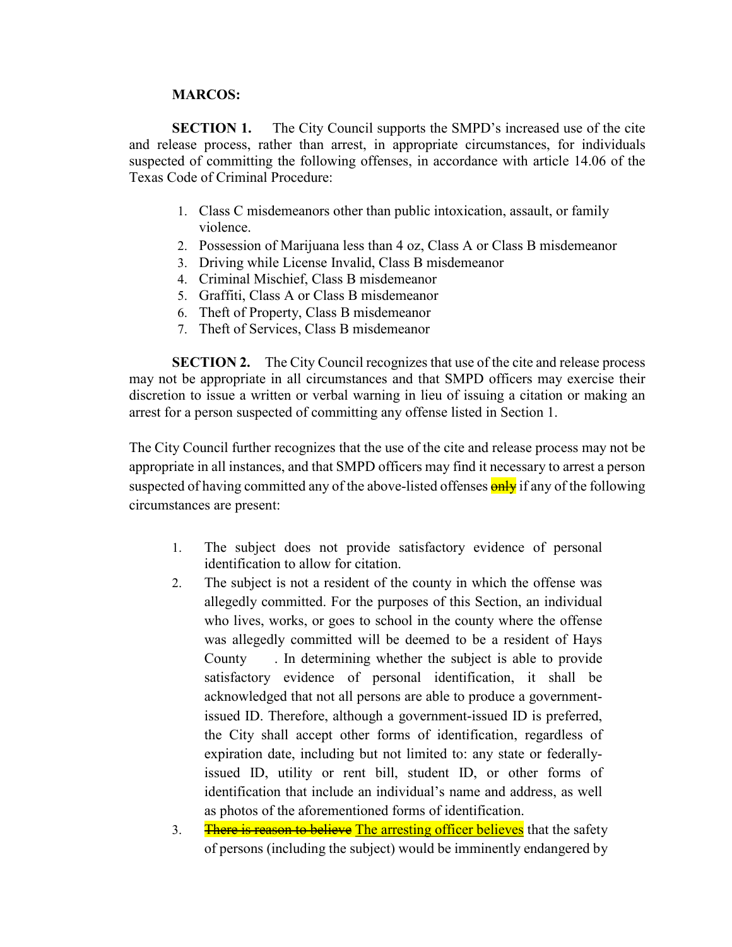## **MARCOS:**

**SECTION 1.** The City Council supports the SMPD's increased use of the cite and release process, rather than arrest, in appropriate circumstances, for individuals suspected of committing the following offenses, in accordance with article 14.06 of the Texas Code of Criminal Procedure:

- 1. Class C misdemeanors other than public intoxication, assault, or family violence.
- 2. Possession of Marijuana less than 4 oz, Class A or Class B misdemeanor
- 3. Driving while License Invalid, Class B misdemeanor
- 4. Criminal Mischief, Class B misdemeanor
- 5. Graffiti, Class A or Class B misdemeanor
- 6. Theft of Property, Class B misdemeanor
- 7. Theft of Services, Class B misdemeanor

**SECTION 2.** The City Council recognizes that use of the cite and release process may not be appropriate in all circumstances and that SMPD officers may exercise their discretion to issue a written or verbal warning in lieu of issuing a citation or making an arrest for a person suspected of committing any offense listed in Section 1.

The City Council further recognizes that the use of the cite and release process may not be appropriate in all instances, and that SMPD officers may find it necessary to arrest a person suspected of having committed any of the above-listed offenses **only** if any of the following circumstances are present:

- 1. The subject does not provide satisfactory evidence of personal identification to allow for citation.
- 2. The subject is not a resident of the county in which the offense was allegedly committed. For the purposes of this Section, an individual who lives, works, or goes to school in the county where the offense was allegedly committed will be deemed to be a resident of Hays County . In determining whether the subject is able to provide satisfactory evidence of personal identification, it shall be acknowledged that not all persons are able to produce a governmentissued ID. Therefore, although a government-issued ID is preferred, the City shall accept other forms of identification, regardless of expiration date, including but not limited to: any state or federallyissued ID, utility or rent bill, student ID, or other forms of identification that include an individual's name and address, as well as photos of the aforementioned forms of identification.
- 3. There is reason to believe The arresting officer believes that the safety of persons (including the subject) would be imminently endangered by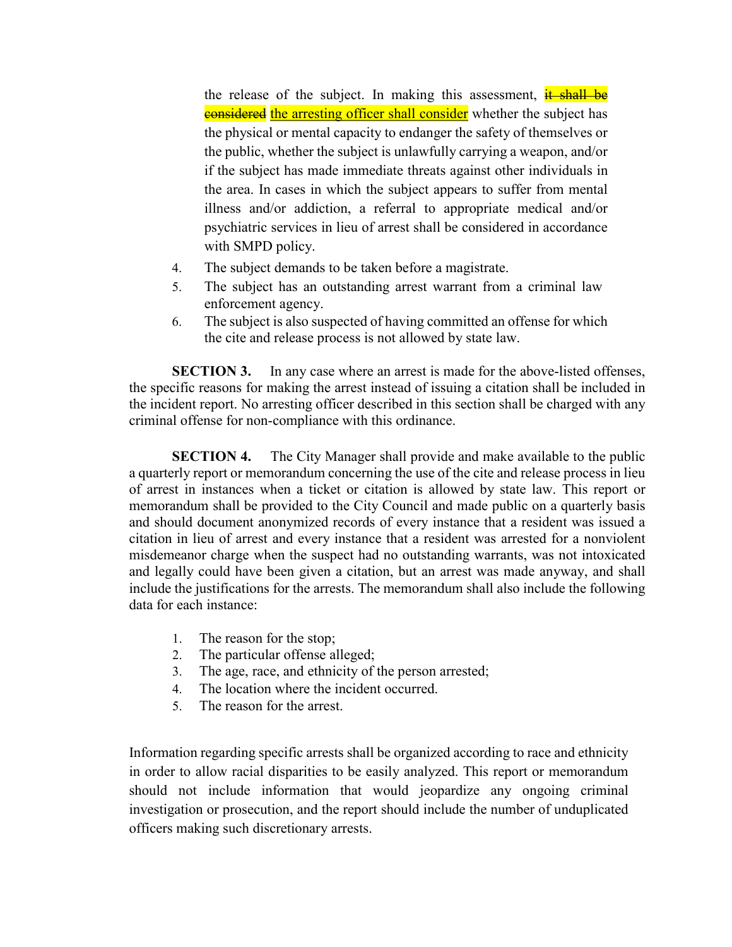the release of the subject. In making this assessment, it shall be **considered** the arresting officer shall consider whether the subject has the physical or mental capacity to endanger the safety of themselves or the public, whether the subject is unlawfully carrying a weapon, and/or if the subject has made immediate threats against other individuals in the area. In cases in which the subject appears to suffer from mental illness and/or addiction, a referral to appropriate medical and/or psychiatric services in lieu of arrest shall be considered in accordance with SMPD policy.

- 4. The subject demands to be taken before a magistrate.
- 5. The subject has an outstanding arrest warrant from a criminal law enforcement agency.
- 6. The subject is also suspected of having committed an offense for which the cite and release process is not allowed by state law.

**SECTION 3.** In any case where an arrest is made for the above-listed offenses, the specific reasons for making the arrest instead of issuing a citation shall be included in the incident report. No arresting officer described in this section shall be charged with any criminal offense for non-compliance with this ordinance.

**SECTION 4.** The City Manager shall provide and make available to the public a quarterly report or memorandum concerning the use of the cite and release process in lieu of arrest in instances when a ticket or citation is allowed by state law. This report or memorandum shall be provided to the City Council and made public on a quarterly basis and should document anonymized records of every instance that a resident was issued a citation in lieu of arrest and every instance that a resident was arrested for a nonviolent misdemeanor charge when the suspect had no outstanding warrants, was not intoxicated and legally could have been given a citation, but an arrest was made anyway, and shall include the justifications for the arrests. The memorandum shall also include the following data for each instance:

- 1. The reason for the stop;
- 2. The particular offense alleged;
- 3. The age, race, and ethnicity of the person arrested;
- 4. The location where the incident occurred.
- 5. The reason for the arrest.

Information regarding specific arrests shall be organized according to race and ethnicity in order to allow racial disparities to be easily analyzed. This report or memorandum should not include information that would jeopardize any ongoing criminal investigation or prosecution, and the report should include the number of unduplicated officers making such discretionary arrests.